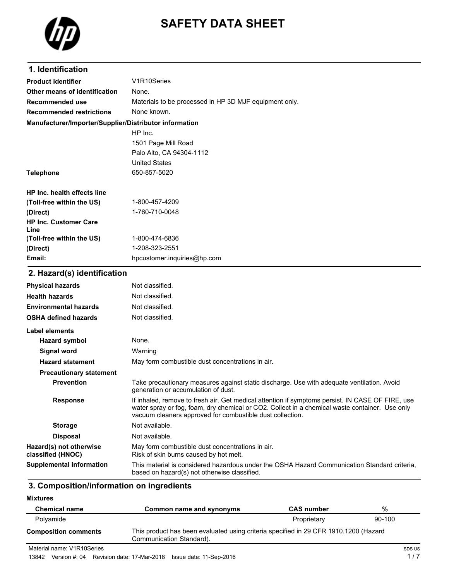

# **SAFETY DATA SHEET**

| 1. Identification                                      |                                                                                                                                                                                                                                                                 |
|--------------------------------------------------------|-----------------------------------------------------------------------------------------------------------------------------------------------------------------------------------------------------------------------------------------------------------------|
| <b>Product identifier</b>                              | V1R10Series                                                                                                                                                                                                                                                     |
| Other means of identification                          | None.                                                                                                                                                                                                                                                           |
| Recommended use                                        | Materials to be processed in HP 3D MJF equipment only.                                                                                                                                                                                                          |
| <b>Recommended restrictions</b>                        | None known.                                                                                                                                                                                                                                                     |
| Manufacturer/Importer/Supplier/Distributor information |                                                                                                                                                                                                                                                                 |
|                                                        | HP Inc.                                                                                                                                                                                                                                                         |
|                                                        | 1501 Page Mill Road                                                                                                                                                                                                                                             |
|                                                        | Palo Alto, CA 94304-1112                                                                                                                                                                                                                                        |
|                                                        | <b>United States</b>                                                                                                                                                                                                                                            |
| <b>Telephone</b>                                       | 650-857-5020                                                                                                                                                                                                                                                    |
| <b>HP Inc. health effects line</b>                     |                                                                                                                                                                                                                                                                 |
| (Toll-free within the US)                              | 1-800-457-4209                                                                                                                                                                                                                                                  |
| (Direct)                                               | 1-760-710-0048                                                                                                                                                                                                                                                  |
| <b>HP Inc. Customer Care</b><br>Line                   |                                                                                                                                                                                                                                                                 |
| (Toll-free within the US)                              | 1-800-474-6836                                                                                                                                                                                                                                                  |
| (Direct)                                               | 1-208-323-2551                                                                                                                                                                                                                                                  |
| Email:                                                 | hpcustomer.inquiries@hp.com                                                                                                                                                                                                                                     |
| 2. Hazard(s) identification                            |                                                                                                                                                                                                                                                                 |
| <b>Physical hazards</b>                                | Not classified.                                                                                                                                                                                                                                                 |
| <b>Health hazards</b>                                  | Not classified.                                                                                                                                                                                                                                                 |
| <b>Environmental hazards</b>                           | Not classified.                                                                                                                                                                                                                                                 |
| <b>OSHA defined hazards</b>                            | Not classified.                                                                                                                                                                                                                                                 |
| <b>Label elements</b>                                  |                                                                                                                                                                                                                                                                 |
| <b>Hazard symbol</b>                                   | None.                                                                                                                                                                                                                                                           |
| Signal word                                            | Warning                                                                                                                                                                                                                                                         |
| <b>Hazard statement</b>                                | May form combustible dust concentrations in air.                                                                                                                                                                                                                |
| <b>Precautionary statement</b>                         |                                                                                                                                                                                                                                                                 |
| <b>Prevention</b>                                      | Take precautionary measures against static discharge. Use with adequate ventilation. Avoid<br>generation or accumulation of dust.                                                                                                                               |
| <b>Response</b>                                        | If inhaled, remove to fresh air. Get medical attention if symptoms persist. IN CASE OF FIRE, use<br>water spray or fog, foam, dry chemical or CO2. Collect in a chemical waste container. Use only<br>vacuum cleaners approved for combustible dust collection. |
| <b>Storage</b>                                         | Not available.                                                                                                                                                                                                                                                  |

**Disposal** Not available. **Hazard(s) not otherwise classified (HNOC)** May form combustible dust concentrations in air. Risk of skin burns caused by hot melt. **Supplemental information** This material is considered hazardous under the OSHA Hazard Communication Standard criteria, based on hazard(s) not otherwise classified.

#### **3. Composition/information on ingredients**

**Mixtures**

| <b>Chemical name</b>        | Common name and synonyms                                                                                         | <b>CAS number</b> | %      |
|-----------------------------|------------------------------------------------------------------------------------------------------------------|-------------------|--------|
| Polvamide                   |                                                                                                                  | Proprietary       | 90-100 |
| <b>Composition comments</b> | This product has been evaluated using criteria specified in 29 CFR 1910.1200 (Hazard<br>Communication Standard). |                   |        |
| _ _ _ _                     |                                                                                                                  |                   |        |

Material name: V1R10Series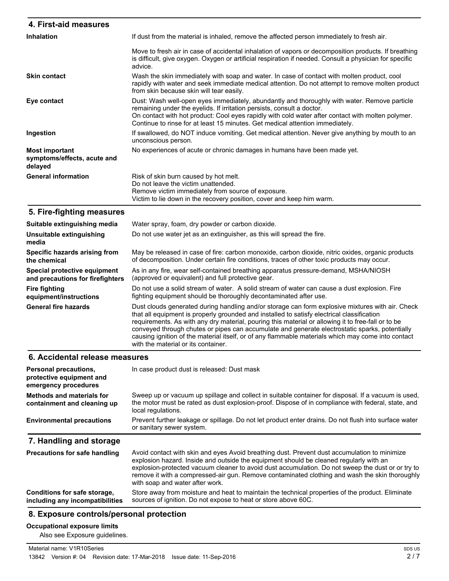| 4. First-aid measures                                           |                                                                                                                                                                                                                                                                                                                                                              |
|-----------------------------------------------------------------|--------------------------------------------------------------------------------------------------------------------------------------------------------------------------------------------------------------------------------------------------------------------------------------------------------------------------------------------------------------|
| <b>Inhalation</b>                                               | If dust from the material is inhaled, remove the affected person immediately to fresh air.                                                                                                                                                                                                                                                                   |
|                                                                 | Move to fresh air in case of accidental inhalation of vapors or decomposition products. If breathing<br>is difficult, give oxygen. Oxygen or artificial respiration if needed. Consult a physician for specific<br>advice.                                                                                                                                   |
| <b>Skin contact</b>                                             | Wash the skin immediately with soap and water. In case of contact with molten product, cool<br>rapidly with water and seek immediate medical attention. Do not attempt to remove molten product<br>from skin because skin will tear easily.                                                                                                                  |
| Eye contact                                                     | Dust: Wash well-open eyes immediately, abundantly and thoroughly with water. Remove particle<br>remaining under the eyelids. If irritation persists, consult a doctor.<br>On contact with hot product: Cool eyes rapidly with cold water after contact with molten polymer.<br>Continue to rinse for at least 15 minutes. Get medical attention immediately. |
| Ingestion                                                       | If swallowed, do NOT induce vomiting. Get medical attention. Never give anything by mouth to an<br>unconscious person.                                                                                                                                                                                                                                       |
| <b>Most important</b><br>symptoms/effects, acute and<br>delayed | No experiences of acute or chronic damages in humans have been made yet.                                                                                                                                                                                                                                                                                     |
| <b>General information</b>                                      | Risk of skin burn caused by hot melt.<br>Do not leave the victim unattended.<br>Remove victim immediately from source of exposure.<br>Victim to lie down in the recovery position, cover and keep him warm.                                                                                                                                                  |
| 5. Fire-fighting measures                                       |                                                                                                                                                                                                                                                                                                                                                              |

| Suitable extinguishing media      | Water spray, foam, dry powder or carbon dioxide.                                                                                                                                                                                                                                                                                                                                                                                                                                                                                                    |
|-----------------------------------|-----------------------------------------------------------------------------------------------------------------------------------------------------------------------------------------------------------------------------------------------------------------------------------------------------------------------------------------------------------------------------------------------------------------------------------------------------------------------------------------------------------------------------------------------------|
| Unsuitable extinguishing<br>media | Do not use water jet as an extinguisher, as this will spread the fire.                                                                                                                                                                                                                                                                                                                                                                                                                                                                              |
| Specific hazards arising from     | May be released in case of fire: carbon monoxide, carbon dioxide, nitric oxides, organic products                                                                                                                                                                                                                                                                                                                                                                                                                                                   |
| the chemical                      | of decomposition. Under certain fire conditions, traces of other toxic products may occur.                                                                                                                                                                                                                                                                                                                                                                                                                                                          |
| Special protective equipment      | As in any fire, wear self-contained breathing apparatus pressure-demand, MSHA/NIOSH                                                                                                                                                                                                                                                                                                                                                                                                                                                                 |
| and precautions for firefighters  | (approved or equivalent) and full protective gear.                                                                                                                                                                                                                                                                                                                                                                                                                                                                                                  |
| <b>Fire fighting</b>              | Do not use a solid stream of water. A solid stream of water can cause a dust explosion. Fire                                                                                                                                                                                                                                                                                                                                                                                                                                                        |
| equipment/instructions            | fighting equipment should be thoroughly decontaminated after use.                                                                                                                                                                                                                                                                                                                                                                                                                                                                                   |
| <b>General fire hazards</b>       | Dust clouds generated during handling and/or storage can form explosive mixtures with air. Check<br>that all equipment is properly grounded and installed to satisfy electrical classification<br>requirements. As with any dry material, pouring this material or allowing it to free-fall or to be<br>conveyed through chutes or pipes can accumulate and generate electrostatic sparks, potentially<br>causing ignition of the material itself, or of any flammable materials which may come into contact<br>with the material or its container. |

# **6. Accidental release measures**

| Personal precautions,<br>protective equipment and<br>emergency procedures | In case product dust is released: Dust mask                                                                                                                                                                                                                                                                                                                                                                                      |
|---------------------------------------------------------------------------|----------------------------------------------------------------------------------------------------------------------------------------------------------------------------------------------------------------------------------------------------------------------------------------------------------------------------------------------------------------------------------------------------------------------------------|
| <b>Methods and materials for</b><br>containment and cleaning up           | Sweep up or vacuum up spillage and collect in suitable container for disposal. If a vacuum is used,<br>the motor must be rated as dust explosion-proof. Dispose of in compliance with federal, state, and<br>local regulations.                                                                                                                                                                                                  |
| <b>Environmental precautions</b>                                          | Prevent further leakage or spillage. Do not let product enter drains. Do not flush into surface water<br>or sanitary sewer system.                                                                                                                                                                                                                                                                                               |
| 7. Handling and storage                                                   |                                                                                                                                                                                                                                                                                                                                                                                                                                  |
| <b>Precautions for safe handling</b>                                      | Avoid contact with skin and eyes Avoid breathing dust. Prevent dust accumulation to minimize<br>explosion hazard. Inside and outside the equipment should be cleaned regularly with an<br>explosion-protected vacuum cleaner to avoid dust accumulation. Do not sweep the dust or or try to<br>remove it with a compressed-air gun. Remove contaminated clothing and wash the skin thoroughly<br>with soap and water after work. |
| Conditions for safe storage,<br>including any incompatibilities           | Store away from moisture and heat to maintain the technical properties of the product. Eliminate<br>sources of ignition. Do not expose to heat or store above 60C.                                                                                                                                                                                                                                                               |

# **8. Exposure controls/personal protection**

# **Occupational exposure limits**

Also see Exposure guidelines.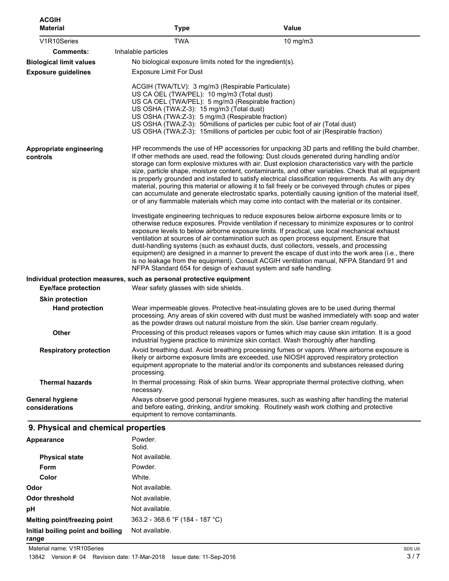| <b>ACGIH</b><br><b>Material</b>          | <b>Type</b>                                                                                                                                                                                                                                           | Value                                                                                                                                                                                                                                                                                                                                                                                                                                                                                                                                                                                                                                                                                                                                                                                                                                    |
|------------------------------------------|-------------------------------------------------------------------------------------------------------------------------------------------------------------------------------------------------------------------------------------------------------|------------------------------------------------------------------------------------------------------------------------------------------------------------------------------------------------------------------------------------------------------------------------------------------------------------------------------------------------------------------------------------------------------------------------------------------------------------------------------------------------------------------------------------------------------------------------------------------------------------------------------------------------------------------------------------------------------------------------------------------------------------------------------------------------------------------------------------------|
| V1R10Series                              | <b>TWA</b>                                                                                                                                                                                                                                            | 10 mg/m3                                                                                                                                                                                                                                                                                                                                                                                                                                                                                                                                                                                                                                                                                                                                                                                                                                 |
| Comments:                                | Inhalable particles                                                                                                                                                                                                                                   |                                                                                                                                                                                                                                                                                                                                                                                                                                                                                                                                                                                                                                                                                                                                                                                                                                          |
| <b>Biological limit values</b>           | No biological exposure limits noted for the ingredient(s).                                                                                                                                                                                            |                                                                                                                                                                                                                                                                                                                                                                                                                                                                                                                                                                                                                                                                                                                                                                                                                                          |
| <b>Exposure guidelines</b>               | <b>Exposure Limit For Dust</b>                                                                                                                                                                                                                        |                                                                                                                                                                                                                                                                                                                                                                                                                                                                                                                                                                                                                                                                                                                                                                                                                                          |
|                                          | ACGIH (TWA/TLV): 3 mg/m3 (Respirable Particulate)<br>US CA OEL (TWA/PEL): 10 mg/m3 (Total dust)<br>US CA OEL (TWA/PEL): 5 mg/m3 (Respirable fraction)<br>US OSHA (TWA:Z-3): 15 mg/m3 (Total dust)<br>US OSHA (TWA:Z-3): 5 mg/m3 (Respirable fraction) | US OSHA (TWA:Z-3): 50millions of particles per cubic foot of air (Total dust)<br>US OSHA (TWA:Z-3): 15 millions of particles per cubic foot of air (Respirable fraction)                                                                                                                                                                                                                                                                                                                                                                                                                                                                                                                                                                                                                                                                 |
| Appropriate engineering<br>controls      |                                                                                                                                                                                                                                                       | HP recommends the use of HP accessories for unpacking 3D parts and refilling the build chamber.<br>If other methods are used, read the following: Dust clouds generated during handling and/or<br>storage can form explosive mixtures with air. Dust explosion characteristics vary with the particle<br>size, particle shape, moisture content, contaminants, and other variables. Check that all equipment<br>is properly grounded and installed to satisfy electrical classification requirements. As with any dry<br>material, pouring this material or allowing it to fall freely or be conveyed through chutes or pipes<br>can accumulate and generate electrostatic sparks, potentially causing ignition of the material itself,<br>or of any flammable materials which may come into contact with the material or its container. |
|                                          | NFPA Standard 654 for design of exhaust system and safe handling.                                                                                                                                                                                     | Investigate engineering techniques to reduce exposures below airborne exposure limits or to<br>otherwise reduce exposures. Provide ventilation if necessary to minimize exposures or to control<br>exposure levels to below airborne exposure limits. If practical, use local mechanical exhaust<br>ventilation at sources of air contamination such as open process equipment. Ensure that<br>dust-handling systems (such as exhaust ducts, dust collectors, vessels, and processing<br>equipment) are designed in a manner to prevent the escape of dust into the work area (i.e., there<br>is no leakage from the equipment). Consult ACGIH ventilation manual, NFPA Standard 91 and                                                                                                                                                  |
|                                          | Individual protection measures, such as personal protective equipment                                                                                                                                                                                 |                                                                                                                                                                                                                                                                                                                                                                                                                                                                                                                                                                                                                                                                                                                                                                                                                                          |
| <b>Eye/face protection</b>               | Wear safety glasses with side shields.                                                                                                                                                                                                                |                                                                                                                                                                                                                                                                                                                                                                                                                                                                                                                                                                                                                                                                                                                                                                                                                                          |
| <b>Skin protection</b>                   |                                                                                                                                                                                                                                                       |                                                                                                                                                                                                                                                                                                                                                                                                                                                                                                                                                                                                                                                                                                                                                                                                                                          |
| <b>Hand protection</b>                   |                                                                                                                                                                                                                                                       | Wear impermeable gloves. Protective heat-insulating gloves are to be used during thermal<br>processing. Any areas of skin covered with dust must be washed immediately with soap and water<br>as the powder draws out natural moisture from the skin. Use barrier cream regularly.                                                                                                                                                                                                                                                                                                                                                                                                                                                                                                                                                       |
| Other                                    |                                                                                                                                                                                                                                                       | Processing of this product releases vapors or fumes which may cause skin irritation. It is a good<br>industrial hygiene practice to minimize skin contact. Wash thoroughly after handling.                                                                                                                                                                                                                                                                                                                                                                                                                                                                                                                                                                                                                                               |
| <b>Respiratory protection</b>            | processing.                                                                                                                                                                                                                                           | Avoid breathing dust. Avoid breathing processing fumes or vapors. Where airborne exposure is<br>likely or airborne exposure limits are exceeded, use NIOSH approved respiratory protection<br>equipment appropriate to the material and/or its components and substances released during                                                                                                                                                                                                                                                                                                                                                                                                                                                                                                                                                 |
| <b>Thermal hazards</b>                   | necessary.                                                                                                                                                                                                                                            | In thermal processing: Risk of skin burns. Wear appropriate thermal protective clothing, when                                                                                                                                                                                                                                                                                                                                                                                                                                                                                                                                                                                                                                                                                                                                            |
| <b>General hygiene</b><br>considerations | equipment to remove contaminants.                                                                                                                                                                                                                     | Always observe good personal hygiene measures, such as washing after handling the material<br>and before eating, drinking, and/or smoking. Routinely wash work clothing and protective                                                                                                                                                                                                                                                                                                                                                                                                                                                                                                                                                                                                                                                   |

#### Powder. Solid. **Appearance Physical state** Not available. Form Powder. **Color** White. **Odor** Not available. **Odor threshold** Not available. **pH** Not available. **Melting point/freezing point** 363.2 - 368.6 °F (184 - 187 °C) **Initial boiling point and boiling range** Not available.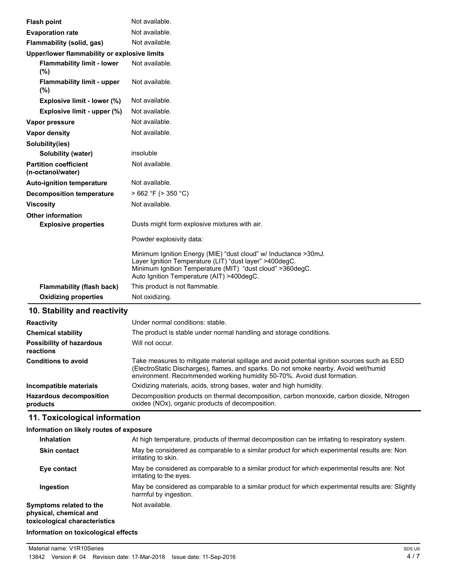| <b>Flash point</b>                                | Not available.                                                                                                                                                                                                                        |
|---------------------------------------------------|---------------------------------------------------------------------------------------------------------------------------------------------------------------------------------------------------------------------------------------|
| <b>Evaporation rate</b>                           | Not available.                                                                                                                                                                                                                        |
| Flammability (solid, gas)                         | Not available.                                                                                                                                                                                                                        |
| Upper/lower flammability or explosive limits      |                                                                                                                                                                                                                                       |
| <b>Flammability limit - lower</b><br>(%)          | Not available.                                                                                                                                                                                                                        |
| <b>Flammability limit - upper</b><br>$(\%)$       | Not available.                                                                                                                                                                                                                        |
| Explosive limit - lower (%)                       | Not available.                                                                                                                                                                                                                        |
| Explosive limit - upper (%)                       | Not available.                                                                                                                                                                                                                        |
| Vapor pressure                                    | Not available.                                                                                                                                                                                                                        |
| Vapor density                                     | Not available.                                                                                                                                                                                                                        |
| Solubility(ies)                                   |                                                                                                                                                                                                                                       |
| Solubility (water)                                | insoluble                                                                                                                                                                                                                             |
| <b>Partition coefficient</b><br>(n-octanol/water) | Not available.                                                                                                                                                                                                                        |
| <b>Auto-ignition temperature</b>                  | Not available.                                                                                                                                                                                                                        |
| <b>Decomposition temperature</b>                  | $>662$ °F ( $>350$ °C)                                                                                                                                                                                                                |
| <b>Viscosity</b>                                  | Not available.                                                                                                                                                                                                                        |
| <b>Other information</b>                          |                                                                                                                                                                                                                                       |
| <b>Explosive properties</b>                       | Dusts might form explosive mixtures with air.                                                                                                                                                                                         |
|                                                   | Powder explosivity data:                                                                                                                                                                                                              |
|                                                   | Minimum Ignition Energy (MIE) "dust cloud" w/ Inductance > 30mJ.<br>Layer Ignition Temperature (LIT) "dust layer" >400degC.<br>Minimum Ignition Temperature (MIT) "dust cloud" >360degC.<br>Auto Ignition Temperature (AIT) >400degC. |
| <b>Flammability (flash back)</b>                  | This product is not flammable.                                                                                                                                                                                                        |
| <b>Oxidizing properties</b>                       | Not oxidizing.                                                                                                                                                                                                                        |

#### **10. Stability and reactivity**

| <b>Reactivity</b>                            | Under normal conditions: stable.                                                                                                                                                                                                                                |
|----------------------------------------------|-----------------------------------------------------------------------------------------------------------------------------------------------------------------------------------------------------------------------------------------------------------------|
| <b>Chemical stability</b>                    | The product is stable under normal handling and storage conditions.                                                                                                                                                                                             |
| <b>Possibility of hazardous</b><br>reactions | Will not occur.                                                                                                                                                                                                                                                 |
| <b>Conditions to avoid</b>                   | Take measures to mitigate material spillage and avoid potential ignition sources such as ESD<br>(ElectroStatic Discharges), flames, and sparks. Do not smoke nearby. Avoid wet/humid<br>environment. Recommended working humidity 50-70%. Avoid dust formation. |
| Incompatible materials                       | Oxidizing materials, acids, strong bases, water and high humidity.                                                                                                                                                                                              |
| <b>Hazardous decomposition</b><br>products   | Decomposition products on thermal decomposition, carbon monoxide, carbon dioxide, Nitrogen<br>oxides (NOx), organic products of decomposition.                                                                                                                  |

# **11. Toxicological information**

# **Information on likely routes of exposure**

| At high temperature, products of thermal decomposition can be irritating to respiratory system.                            |
|----------------------------------------------------------------------------------------------------------------------------|
| May be considered as comparable to a similar product for which experimental results are: Non<br>irritating to skin.        |
| May be considered as comparable to a similar product for which experimental results are: Not<br>irritating to the eyes.    |
| May be considered as comparable to a similar product for which experimental results are: Slightly<br>harmful by ingestion. |
| Not available.                                                                                                             |
|                                                                                                                            |

#### **Information on toxicological effects**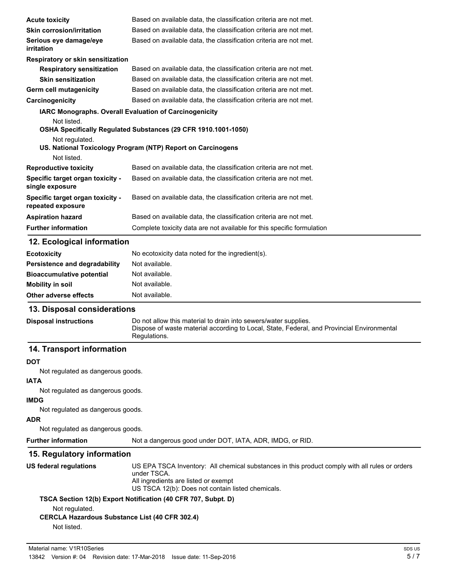| <b>Acute toxicity</b>                                 | Based on available data, the classification criteria are not met.      |
|-------------------------------------------------------|------------------------------------------------------------------------|
| <b>Skin corrosion/irritation</b>                      | Based on available data, the classification criteria are not met.      |
| Serious eye damage/eye<br>irritation                  | Based on available data, the classification criteria are not met.      |
| Respiratory or skin sensitization                     |                                                                        |
| <b>Respiratory sensitization</b>                      | Based on available data, the classification criteria are not met.      |
| <b>Skin sensitization</b>                             | Based on available data, the classification criteria are not met.      |
| Germ cell mutagenicity                                | Based on available data, the classification criteria are not met.      |
| Carcinogenicity                                       | Based on available data, the classification criteria are not met.      |
|                                                       | <b>IARC Monographs. Overall Evaluation of Carcinogenicity</b>          |
| Not listed.<br>Not regulated.                         | OSHA Specifically Regulated Substances (29 CFR 1910.1001-1050)         |
|                                                       | US. National Toxicology Program (NTP) Report on Carcinogens            |
| Not listed.                                           |                                                                        |
| <b>Reproductive toxicity</b>                          | Based on available data, the classification criteria are not met.      |
| Specific target organ toxicity -<br>single exposure   | Based on available data, the classification criteria are not met.      |
| Specific target organ toxicity -<br>repeated exposure | Based on available data, the classification criteria are not met.      |
| <b>Aspiration hazard</b>                              | Based on available data, the classification criteria are not met.      |
| <b>Further information</b>                            | Complete toxicity data are not available for this specific formulation |
| 12 Ecological information                             |                                                                        |

#### **12. Ecological information**

| <b>Ecotoxicity</b>                   | No ecotoxicity data noted for the ingredient(s). |
|--------------------------------------|--------------------------------------------------|
| <b>Persistence and degradability</b> | Not available.                                   |
| <b>Bioaccumulative potential</b>     | Not available.                                   |
| <b>Mobility in soil</b>              | Not available.                                   |
| Other adverse effects                | Not available.                                   |

# **13. Disposal considerations**

| <b>Disposal instructions</b> | Do not allow this material to drain into sewers/water supplies.                            |
|------------------------------|--------------------------------------------------------------------------------------------|
|                              | Dispose of waste material according to Local, State, Federal, and Provincial Environmental |
|                              | Regulations.                                                                               |

# **14. Transport information**

#### **DOT**

Not regulated as dangerous goods.

#### **IATA**

Not regulated as dangerous goods.

## **IMDG**

Not regulated as dangerous goods.

## **ADR**

Not regulated as dangerous goods.

**Further information** Not a dangerous good under DOT, IATA, ADR, IMDG, or RID.

# **15. Regulatory information**

| US federal regulations | US EPA TSCA Inventory: All chemical substances in this product comply with all rules or orders<br>under TSCA. |
|------------------------|---------------------------------------------------------------------------------------------------------------|
|                        |                                                                                                               |
|                        | All ingredients are listed or exempt                                                                          |
|                        | US TSCA 12(b): Does not contain listed chemicals.                                                             |
|                        | TSCA Section 12(b) Export Notification (40 CFR 707, Subpt. D)                                                 |
| Not regulated.         |                                                                                                               |
|                        |                                                                                                               |

## **CERCLA Hazardous Substance List (40 CFR 302.4)**

Not listed.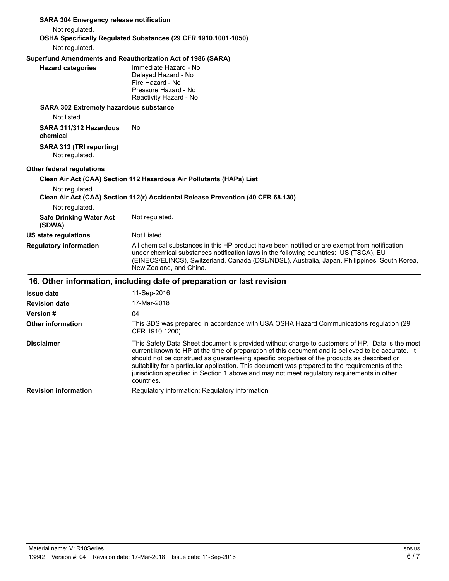| <b>SARA 304 Emergency release notification</b>              |                                                                                                                                                                                                                                                                                                                                                                                                                                                                                                                      |
|-------------------------------------------------------------|----------------------------------------------------------------------------------------------------------------------------------------------------------------------------------------------------------------------------------------------------------------------------------------------------------------------------------------------------------------------------------------------------------------------------------------------------------------------------------------------------------------------|
| Not regulated.                                              |                                                                                                                                                                                                                                                                                                                                                                                                                                                                                                                      |
| Not regulated.                                              | OSHA Specifically Regulated Substances (29 CFR 1910.1001-1050)                                                                                                                                                                                                                                                                                                                                                                                                                                                       |
| Superfund Amendments and Reauthorization Act of 1986 (SARA) |                                                                                                                                                                                                                                                                                                                                                                                                                                                                                                                      |
| <b>Hazard categories</b>                                    | Immediate Hazard - No<br>Delayed Hazard - No<br>Fire Hazard - No<br>Pressure Hazard - No<br>Reactivity Hazard - No                                                                                                                                                                                                                                                                                                                                                                                                   |
| SARA 302 Extremely hazardous substance                      |                                                                                                                                                                                                                                                                                                                                                                                                                                                                                                                      |
| Not listed.                                                 |                                                                                                                                                                                                                                                                                                                                                                                                                                                                                                                      |
| SARA 311/312 Hazardous<br>chemical                          | No                                                                                                                                                                                                                                                                                                                                                                                                                                                                                                                   |
| SARA 313 (TRI reporting)<br>Not regulated.                  |                                                                                                                                                                                                                                                                                                                                                                                                                                                                                                                      |
| Other federal regulations                                   |                                                                                                                                                                                                                                                                                                                                                                                                                                                                                                                      |
|                                                             | Clean Air Act (CAA) Section 112 Hazardous Air Pollutants (HAPs) List                                                                                                                                                                                                                                                                                                                                                                                                                                                 |
| Not regulated.                                              | Clean Air Act (CAA) Section 112(r) Accidental Release Prevention (40 CFR 68.130)                                                                                                                                                                                                                                                                                                                                                                                                                                     |
| Not regulated.                                              |                                                                                                                                                                                                                                                                                                                                                                                                                                                                                                                      |
| <b>Safe Drinking Water Act</b><br>(SDWA)                    | Not regulated.                                                                                                                                                                                                                                                                                                                                                                                                                                                                                                       |
| <b>US state regulations</b>                                 | Not Listed                                                                                                                                                                                                                                                                                                                                                                                                                                                                                                           |
| <b>Regulatory information</b>                               | All chemical substances in this HP product have been notified or are exempt from notification<br>under chemical substances notification laws in the following countries: US (TSCA), EU<br>(EINECS/ELINCS), Switzerland, Canada (DSL/NDSL), Australia, Japan, Philippines, South Korea,<br>New Zealand, and China.                                                                                                                                                                                                    |
|                                                             | 16. Other information, including date of preparation or last revision                                                                                                                                                                                                                                                                                                                                                                                                                                                |
| <b>Issue date</b>                                           | 11-Sep-2016                                                                                                                                                                                                                                                                                                                                                                                                                                                                                                          |
| <b>Revision date</b>                                        | 17-Mar-2018                                                                                                                                                                                                                                                                                                                                                                                                                                                                                                          |
| Version #                                                   | 04                                                                                                                                                                                                                                                                                                                                                                                                                                                                                                                   |
| <b>Other information</b>                                    | This SDS was prepared in accordance with USA OSHA Hazard Communications regulation (29<br>CFR 1910.1200).                                                                                                                                                                                                                                                                                                                                                                                                            |
| <b>Disclaimer</b>                                           | This Safety Data Sheet document is provided without charge to customers of HP. Data is the most<br>current known to HP at the time of preparation of this document and is believed to be accurate. It<br>should not be construed as guaranteeing specific properties of the products as described or<br>suitability for a particular application. This document was prepared to the requirements of the<br>jurisdiction specified in Section 1 above and may not meet regulatory requirements in other<br>countries. |
| <b>Revision information</b>                                 | Regulatory information: Regulatory information                                                                                                                                                                                                                                                                                                                                                                                                                                                                       |